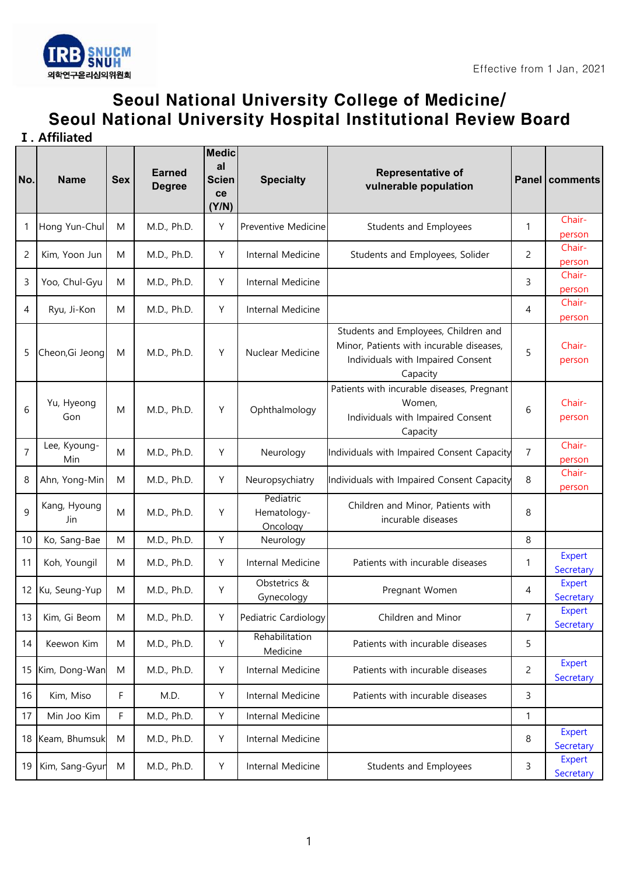

## Seoul National University College of Medicine/ Seoul National University Hospital Institutional Review Board

**Ⅰ. Affiliated** 

| No.            | <b>Name</b>         | <b>Sex</b> | <b>Earned</b><br><b>Degree</b> | <b>Medic</b><br>al<br><b>Scien</b><br>ce<br>(Y/N) | <b>Specialty</b>                     | Representative of<br>vulnerable population                                                                                        |                | Panel   comments           |
|----------------|---------------------|------------|--------------------------------|---------------------------------------------------|--------------------------------------|-----------------------------------------------------------------------------------------------------------------------------------|----------------|----------------------------|
| -1             | Hong Yun-Chul       | M          | M.D., Ph.D.                    | Y                                                 | Preventive Medicine                  | Students and Employees                                                                                                            | 1              | Chair-<br>person           |
| $\overline{c}$ | Kim, Yoon Jun       | M          | M.D., Ph.D.                    | Υ                                                 | Internal Medicine                    | Students and Employees, Solider                                                                                                   | 2              | Chair-<br>person           |
| 3              | Yoo, Chul-Gyu       | M          | M.D., Ph.D.                    | Υ                                                 | Internal Medicine                    |                                                                                                                                   | 3              | Chair-<br>person           |
| 4              | Ryu, Ji-Kon         | M          | M.D., Ph.D.                    | Υ                                                 | Internal Medicine                    |                                                                                                                                   | 4              | Chair-<br>person           |
| 5              | Cheon, Gi Jeong     | M          | M.D., Ph.D.                    | Υ                                                 | Nuclear Medicine                     | Students and Employees, Children and<br>Minor, Patients with incurable diseases,<br>Individuals with Impaired Consent<br>Capacity | 5              | Chair-<br>person           |
| 6              | Yu, Hyeong<br>Gon   | M          | M.D., Ph.D.                    | Y                                                 | Ophthalmology                        | Patients with incurable diseases, Pregnant<br>Women,<br>Individuals with Impaired Consent<br>Capacity                             | 6              | Chair-<br>person           |
| $\overline{7}$ | Lee, Kyoung-<br>Min | M          | M.D., Ph.D.                    | Υ                                                 | Neurology                            | Individuals with Impaired Consent Capacity                                                                                        | $\overline{7}$ | Chair-<br>person           |
| 8              | Ahn, Yong-Min       | M          | M.D., Ph.D.                    | Υ                                                 | Neuropsychiatry                      | Individuals with Impaired Consent Capacity                                                                                        | 8              | Chair-<br>person           |
| $\mathsf{q}$   | Kang, Hyoung<br>Jin | M          | M.D., Ph.D.                    | Y                                                 | Pediatric<br>Hematology-<br>Oncology | Children and Minor, Patients with<br>incurable diseases                                                                           | 8              |                            |
| 10             | Ko, Sang-Bae        | M          | M.D., Ph.D.                    | Y                                                 | Neurology                            |                                                                                                                                   | 8              |                            |
| 11             | Koh, Youngil        | M          | M.D., Ph.D.                    | Υ                                                 | Internal Medicine                    | Patients with incurable diseases                                                                                                  | 1              | Expert<br>Secretary        |
|                | 12 Ku, Seung-Yup    | M          | M.D., Ph.D.                    | Y                                                 | Obstetrics &<br>Gynecology           | Pregnant Women                                                                                                                    | $\overline{4}$ | Expert<br>Secretary        |
| 13             | Kim, Gi Beom        | M          | M.D., Ph.D.                    | Υ                                                 | Pediatric Cardiology                 | Children and Minor                                                                                                                | 7              | Expert<br>Secretary        |
| 14             | Keewon Kim          | M          | M.D., Ph.D.                    | Υ                                                 | Rehabilitation<br>Medicine           | Patients with incurable diseases                                                                                                  | 5              |                            |
|                | 15 Kim, Dong-Wan    | M          | M.D., Ph.D.                    | Υ                                                 | Internal Medicine                    | Patients with incurable diseases                                                                                                  | $\overline{c}$ | Expert<br>Secretary        |
| 16             | Kim, Miso           | F          | M.D.                           | Υ                                                 | Internal Medicine                    | Patients with incurable diseases                                                                                                  | 3              |                            |
| 17             | Min Joo Kim         | F          | M.D., Ph.D.                    | Υ                                                 | Internal Medicine                    |                                                                                                                                   | $\mathbf{1}$   |                            |
|                | 18 Keam, Bhumsuk    | M          | M.D., Ph.D.                    | Υ                                                 | Internal Medicine                    |                                                                                                                                   | 8              | <b>Expert</b><br>Secretary |
| 19             | Kim, Sang-Gyur      | M          | M.D., Ph.D.                    | Υ                                                 | Internal Medicine                    | Students and Employees                                                                                                            | 3              | Expert<br>Secretary        |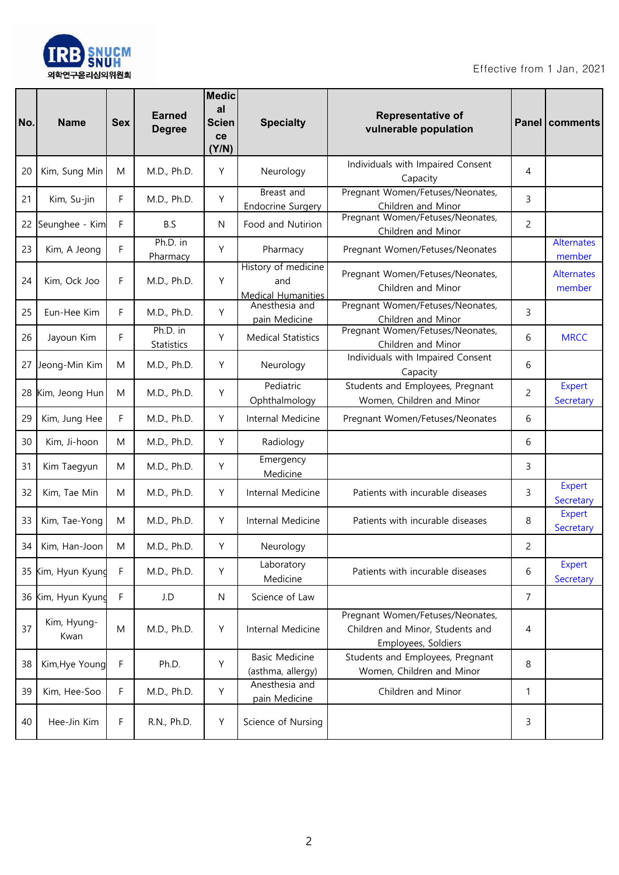

| No. | <b>Name</b>         | <b>Sex</b>  | <b>Earned</b><br><b>Degree</b> | <b>Medic</b><br>al<br><b>Scien</b><br>ce<br>(Y/N) | <b>Specialty</b>                                        | <b>Representative of</b><br>vulnerable population                                           |                | Panel   comments            |
|-----|---------------------|-------------|--------------------------------|---------------------------------------------------|---------------------------------------------------------|---------------------------------------------------------------------------------------------|----------------|-----------------------------|
| 20  | Kim, Sung Min       | M           | M.D., Ph.D.                    | Y                                                 | Neurology                                               | Individuals with Impaired Consent<br>Capacity                                               | 4              |                             |
| 21  | Kim, Su-jin         | F           | M.D., Ph.D.                    | Υ                                                 | Breast and<br><b>Endocrine Surgery</b>                  | Pregnant Women/Fetuses/Neonates,<br>Children and Minor                                      | 3              |                             |
| 22  | Seunghee - Kim      | F           | B.S                            | N                                                 | Food and Nutirion                                       | Pregnant Women/Fetuses/Neonates,<br>Children and Minor                                      | $\overline{c}$ |                             |
| 23  | Kim, A Jeong        | F           | Ph.D. in<br>Pharmacy           | Y                                                 | Pharmacy                                                | Pregnant Women/Fetuses/Neonates                                                             |                | <b>Alternates</b><br>member |
| 24  | Kim, Ock Joo        | F           | M.D., Ph.D.                    | Y                                                 | History of medicine<br>and<br><b>Medical Humanities</b> | Pregnant Women/Fetuses/Neonates,<br>Children and Minor                                      |                | <b>Alternates</b><br>member |
| 25  | Eun-Hee Kim         | F           | M.D., Ph.D.                    | Y                                                 | Anesthesia and<br>pain Medicine                         | Pregnant Women/Fetuses/Neonates,<br>Children and Minor                                      | 3              |                             |
| 26  | Jayoun Kim          | F           | Ph.D. in<br>Statistics         | Y                                                 | <b>Medical Statistics</b>                               | Pregnant Women/Fetuses/Neonates,<br>Children and Minor                                      | 6              | <b>MRCC</b>                 |
| 27  | Jeong-Min Kim       | M           | M.D., Ph.D.                    | Y                                                 | Neurology                                               | Individuals with Impaired Consent<br>Capacity                                               | 6              |                             |
| 28  | Kim, Jeong Hun      | M           | M.D., Ph.D.                    | Y                                                 | Pediatric<br>Ophthalmology                              | Students and Employees, Pregnant<br>Women, Children and Minor                               | $\overline{c}$ | Expert<br>Secretary         |
| 29  | Kim, Jung Hee       | F           | M.D., Ph.D.                    | Y                                                 | Internal Medicine                                       | Pregnant Women/Fetuses/Neonates                                                             | 6              |                             |
| 30  | Kim, Ji-hoon        | M           | M.D., Ph.D.                    | Y                                                 | Radiology                                               |                                                                                             | 6              |                             |
| 31  | Kim Taegyun         | M           | M.D., Ph.D.                    | Y                                                 | Emergency<br>Medicine                                   |                                                                                             | 3              |                             |
| 32  | Kim, Tae Min        | M           | M.D., Ph.D.                    | Y                                                 | Internal Medicine                                       | Patients with incurable diseases                                                            | 3              | Expert<br>Secretary         |
| 33  | Kim, Tae-Yong       | M           | M.D., Ph.D.                    | Y                                                 | Internal Medicine                                       | Patients with incurable diseases                                                            | 8              | Expert<br>Secretary         |
| 34  | Kim, Han-Joon       | M           | M.D., Ph.D.                    | Υ                                                 | Neurology                                               |                                                                                             | $\overline{c}$ |                             |
| 35  | Kim, Hyun Kyung     | F           | M.D., Ph.D.                    | Y                                                 | Laboratory<br>Medicine                                  | Patients with incurable diseases                                                            | 6              | Expert<br>Secretary         |
|     | 36 Kim, Hyun Kyung  | $\mathsf F$ | J.D                            | $\mathsf{N}$                                      | Science of Law                                          |                                                                                             | $\overline{7}$ |                             |
| 37  | Kim, Hyung-<br>Kwan | M           | M.D., Ph.D.                    | Y                                                 | Internal Medicine                                       | Pregnant Women/Fetuses/Neonates,<br>Children and Minor, Students and<br>Employees, Soldiers | 4              |                             |
| 38  | Kim, Hye Young      | F           | Ph.D.                          | Υ                                                 | <b>Basic Medicine</b><br>(asthma, allergy)              | Students and Employees, Pregnant<br>Women, Children and Minor                               | 8              |                             |
| 39  | Kim, Hee-Soo        | F           | M.D., Ph.D.                    | Y                                                 | Anesthesia and<br>pain Medicine                         | Children and Minor                                                                          | $\mathbf{1}$   |                             |
| 40  | Hee-Jin Kim         | F           | R.N., Ph.D.                    | Υ                                                 | Science of Nursing                                      |                                                                                             | 3              |                             |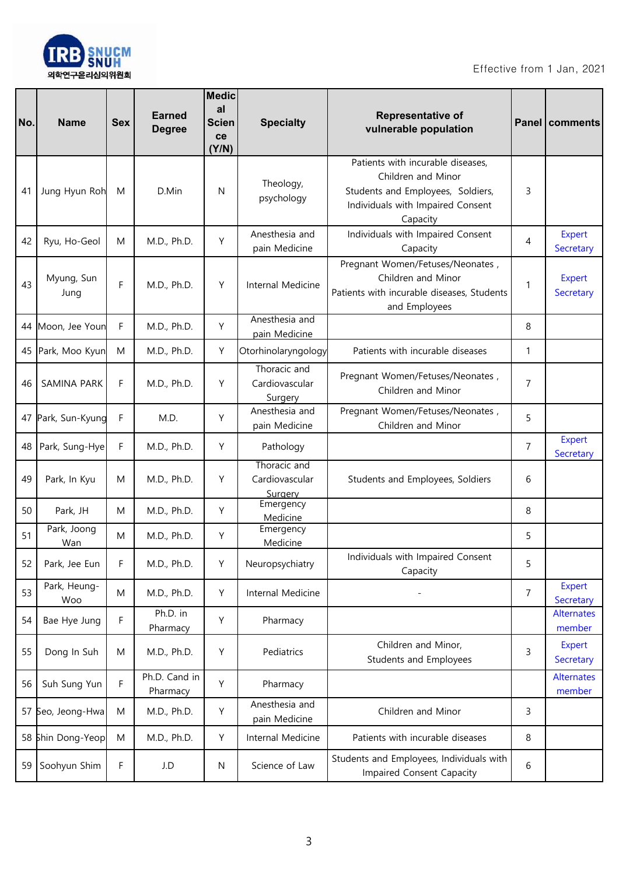

| No. | <b>Name</b>         | <b>Sex</b> | <b>Earned</b><br><b>Degree</b> | <b>Medic</b><br>al<br><b>Scien</b><br>ce<br>(Y/N) | <b>Specialty</b>                          | <b>Representative of</b><br>vulnerable population                                                                                             |                | Panel   comments            |
|-----|---------------------|------------|--------------------------------|---------------------------------------------------|-------------------------------------------|-----------------------------------------------------------------------------------------------------------------------------------------------|----------------|-----------------------------|
| 41  | Jung Hyun Roh       | M          | D.Min                          | N                                                 | Theology,<br>psychology                   | Patients with incurable diseases,<br>Children and Minor<br>Students and Employees, Soldiers,<br>Individuals with Impaired Consent<br>Capacity | 3              |                             |
| 42  | Ryu, Ho-Geol        | M          | M.D., Ph.D.                    | Y                                                 | Anesthesia and<br>pain Medicine           | Individuals with Impaired Consent<br>Capacity                                                                                                 | 4              | <b>Expert</b><br>Secretary  |
| 43  | Myung, Sun<br>Jung  | F          | M.D., Ph.D.                    | Y                                                 | Internal Medicine                         | Pregnant Women/Fetuses/Neonates,<br>Children and Minor<br>Patients with incurable diseases, Students<br>and Employees                         | 1              | <b>Expert</b><br>Secretary  |
|     | 44 Moon, Jee Youn   | F          | M.D., Ph.D.                    | Y                                                 | Anesthesia and<br>pain Medicine           |                                                                                                                                               | 8              |                             |
|     | 45 Park, Moo Kyun   | M          | M.D., Ph.D.                    | Y                                                 | Otorhinolaryngology                       | Patients with incurable diseases                                                                                                              | 1              |                             |
| 46  | SAMINA PARK         | F          | M.D., Ph.D.                    | Y                                                 | Thoracic and<br>Cardiovascular<br>Surgery | Pregnant Women/Fetuses/Neonates,<br>Children and Minor                                                                                        | 7              |                             |
|     | 47 Park, Sun-Kyung  | F          | M.D.                           | Y                                                 | Anesthesia and<br>pain Medicine           | Pregnant Women/Fetuses/Neonates,<br>Children and Minor                                                                                        | 5              |                             |
| 48  | Park, Sung-Hye      | F          | M.D., Ph.D.                    | Y                                                 | Pathology                                 |                                                                                                                                               | 7              | <b>Expert</b><br>Secretary  |
| 49  | Park, In Kyu        | M          | M.D., Ph.D.                    | Y                                                 | Thoracic and<br>Cardiovascular<br>Surgery | Students and Employees, Soldiers                                                                                                              | 6              |                             |
| 50  | Park, JH            | M          | M.D., Ph.D.                    | Y                                                 | Emergency<br>Medicine                     |                                                                                                                                               | 8              |                             |
| 51  | Park, Joong<br>Wan  | M          | M.D., Ph.D.                    | Y                                                 | Emergency<br>Medicine                     |                                                                                                                                               | 5              |                             |
| 52  | Park, Jee Eun       | F          | M.D., Ph.D.                    | Y                                                 | Neuropsychiatry                           | Individuals with Impaired Consent<br>Capacity                                                                                                 | 5              |                             |
| 53  | Park, Heung-<br>Woo | M          | M.D., Ph.D.                    | Y                                                 | Internal Medicine                         |                                                                                                                                               | $\overline{7}$ | <b>Expert</b><br>Secretary  |
| 54  | Bae Hye Jung        | F          | Ph.D. in<br>Pharmacy           | Υ                                                 | Pharmacy                                  |                                                                                                                                               |                | <b>Alternates</b><br>member |
| 55  | Dong In Suh         | M          | M.D., Ph.D.                    | Y                                                 | Pediatrics                                | Children and Minor,<br>Students and Employees                                                                                                 | 3              | <b>Expert</b><br>Secretary  |
| 56  | Suh Sung Yun        | F          | Ph.D. Cand in<br>Pharmacy      | Υ                                                 | Pharmacy                                  |                                                                                                                                               |                | <b>Alternates</b><br>member |
| 57  | Seo, Jeong-Hwa      | M          | M.D., Ph.D.                    | Y                                                 | Anesthesia and<br>pain Medicine           | Children and Minor                                                                                                                            | 3              |                             |
|     | 58 Shin Dong-Yeop   | M          | M.D., Ph.D.                    | Y                                                 | Internal Medicine                         | Patients with incurable diseases                                                                                                              | 8              |                             |
| 59  | Soohyun Shim        | F          | J.D                            | N                                                 | Science of Law                            | Students and Employees, Individuals with<br>Impaired Consent Capacity                                                                         | 6              |                             |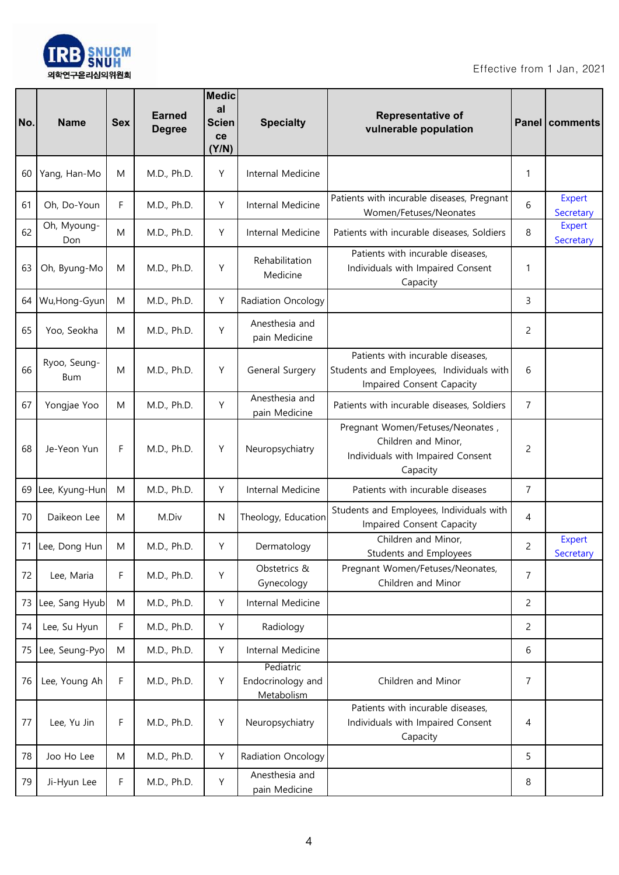

| No. | <b>Name</b>         | <b>Sex</b> | <b>Earned</b><br><b>Degree</b> | <b>Medic</b><br>al<br><b>Scien</b><br>ce<br>(Y/N) | <b>Specialty</b>                             | <b>Representative of</b><br>vulnerable population                                                          |                | Panel   comments           |
|-----|---------------------|------------|--------------------------------|---------------------------------------------------|----------------------------------------------|------------------------------------------------------------------------------------------------------------|----------------|----------------------------|
| 60  | Yang, Han-Mo        | M          | M.D., Ph.D.                    | Υ                                                 | Internal Medicine                            |                                                                                                            | 1              |                            |
| 61  | Oh, Do-Youn         | F          | M.D., Ph.D.                    | Υ                                                 | Internal Medicine                            | Patients with incurable diseases, Pregnant<br>Women/Fetuses/Neonates                                       | 6              | <b>Expert</b><br>Secretary |
| 62  | Oh, Myoung-<br>Don  | M          | M.D., Ph.D.                    | Υ                                                 | Internal Medicine                            | Patients with incurable diseases, Soldiers                                                                 | 8              | <b>Expert</b><br>Secretary |
| 63  | Oh, Byung-Mo        | M          | M.D., Ph.D.                    | Y                                                 | Rehabilitation<br>Medicine                   | Patients with incurable diseases,<br>Individuals with Impaired Consent<br>Capacity                         | 1              |                            |
| 64  | Wu, Hong-Gyun       | M          | M.D., Ph.D.                    | Υ                                                 | Radiation Oncology                           |                                                                                                            | 3              |                            |
| 65  | Yoo, Seokha         | M          | M.D., Ph.D.                    | Y                                                 | Anesthesia and<br>pain Medicine              |                                                                                                            | 2              |                            |
| 66  | Ryoo, Seung-<br>Bum | M          | M.D., Ph.D.                    | Υ                                                 | General Surgery                              | Patients with incurable diseases,<br>Students and Employees, Individuals with<br>Impaired Consent Capacity | 6              |                            |
| 67  | Yongjae Yoo         | M          | M.D., Ph.D.                    | Y                                                 | Anesthesia and<br>pain Medicine              | Patients with incurable diseases, Soldiers                                                                 | 7              |                            |
| 68  | Je-Yeon Yun         | F          | M.D., Ph.D.                    | Υ                                                 | Neuropsychiatry                              | Pregnant Women/Fetuses/Neonates,<br>Children and Minor,<br>Individuals with Impaired Consent<br>Capacity   | 2              |                            |
| 69  | Lee, Kyung-Hun      | M          | M.D., Ph.D.                    | Υ                                                 | Internal Medicine                            | Patients with incurable diseases                                                                           | 7              |                            |
| 70  | Daikeon Lee         | M          | M.Div                          | N                                                 | Theology, Education                          | Students and Employees, Individuals with<br>Impaired Consent Capacity                                      | 4              |                            |
| 71  | Lee, Dong Hun       | M          | M.D., Ph.D.                    | Υ                                                 | Dermatology                                  | Children and Minor,<br>Students and Employees                                                              | $\overline{c}$ | <b>Expert</b><br>Secretary |
| 72  | Lee, Maria          | F          | M.D., Ph.D.                    | Υ                                                 | Obstetrics &<br>Gynecology                   | Pregnant Women/Fetuses/Neonates,<br>Children and Minor                                                     | $\overline{7}$ |                            |
| 73  | Lee, Sang Hyub      | ${\sf M}$  | M.D., Ph.D.                    | Υ                                                 | Internal Medicine                            |                                                                                                            | $\overline{c}$ |                            |
| 74  | Lee, Su Hyun        | F          | M.D., Ph.D.                    | Υ                                                 | Radiology                                    |                                                                                                            | 2              |                            |
| 75  | Lee, Seung-Pyo      | M          | M.D., Ph.D.                    | Y                                                 | Internal Medicine                            |                                                                                                            | 6              |                            |
| 76  | Lee, Young Ah       | F          | M.D., Ph.D.                    | Υ                                                 | Pediatric<br>Endocrinology and<br>Metabolism | Children and Minor                                                                                         | 7              |                            |
| 77  | Lee, Yu Jin         | F          | M.D., Ph.D.                    | Y                                                 | Neuropsychiatry                              | Patients with incurable diseases,<br>Individuals with Impaired Consent<br>Capacity                         | 4              |                            |
| 78  | Joo Ho Lee          | M          | M.D., Ph.D.                    | Y                                                 | Radiation Oncology                           |                                                                                                            | 5              |                            |
| 79  | Ji-Hyun Lee         | F          | M.D., Ph.D.                    | Υ                                                 | Anesthesia and<br>pain Medicine              |                                                                                                            | 8              |                            |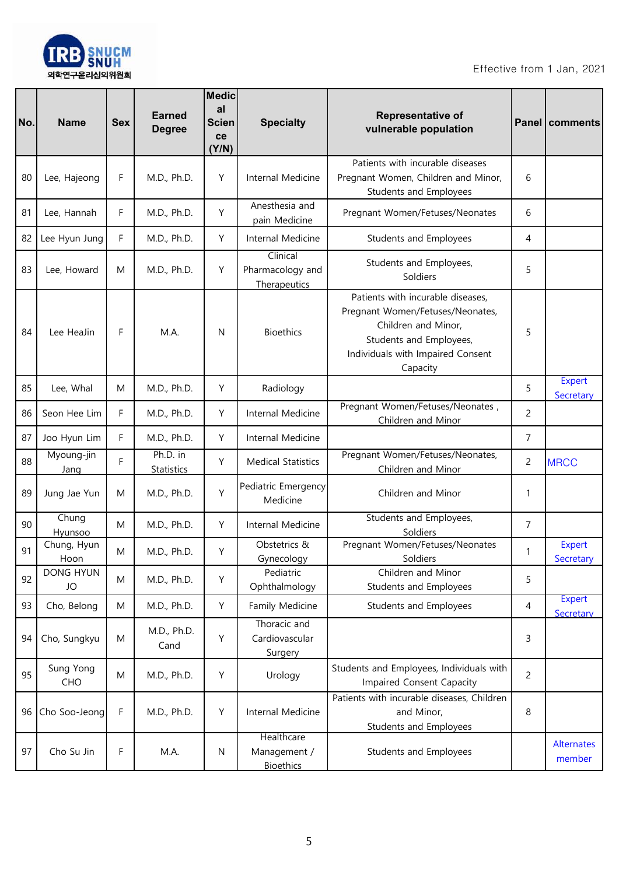

| No. | <b>Name</b>            | <b>Sex</b> | <b>Earned</b><br><b>Degree</b> | <b>Medic</b><br>al<br><b>Scien</b><br>ce<br>(Y/N) | <b>Specialty</b>                               | <b>Representative of</b><br>vulnerable population                                                                                                                        |                | <b>Panel   comments</b>     |
|-----|------------------------|------------|--------------------------------|---------------------------------------------------|------------------------------------------------|--------------------------------------------------------------------------------------------------------------------------------------------------------------------------|----------------|-----------------------------|
| 80  | Lee, Hajeong           | F          | M.D., Ph.D.                    | Υ                                                 | Internal Medicine                              | Patients with incurable diseases<br>Pregnant Women, Children and Minor,<br>Students and Employees                                                                        | 6              |                             |
| 81  | Lee, Hannah            | F          | M.D., Ph.D.                    | Υ                                                 | Anesthesia and<br>pain Medicine                | Pregnant Women/Fetuses/Neonates                                                                                                                                          | 6              |                             |
| 82  | Lee Hyun Jung          | F          | M.D., Ph.D.                    | Y                                                 | Internal Medicine                              | Students and Employees                                                                                                                                                   | 4              |                             |
| 83  | Lee, Howard            | M          | M.D., Ph.D.                    | Υ                                                 | Clinical<br>Pharmacology and<br>Therapeutics   | Students and Employees,<br>Soldiers                                                                                                                                      | 5              |                             |
| 84  | Lee HeaJin             | F          | M.A.                           | N                                                 | <b>Bioethics</b>                               | Patients with incurable diseases,<br>Pregnant Women/Fetuses/Neonates,<br>Children and Minor,<br>Students and Employees,<br>Individuals with Impaired Consent<br>Capacity | 5              |                             |
| 85  | Lee, Whal              | M          | M.D., Ph.D.                    | Υ                                                 | Radiology                                      |                                                                                                                                                                          | 5              | Expert<br>Secretary         |
| 86  | Seon Hee Lim           | F          | M.D., Ph.D.                    | Y                                                 | Internal Medicine                              | Pregnant Women/Fetuses/Neonates,<br>Children and Minor                                                                                                                   | $\overline{c}$ |                             |
| 87  | Joo Hyun Lim           | F          | M.D., Ph.D.                    | Υ                                                 | Internal Medicine                              |                                                                                                                                                                          | $\overline{7}$ |                             |
| 88  | Myoung-jin<br>Jang     | F          | Ph.D. in<br>Statistics         | Υ                                                 | <b>Medical Statistics</b>                      | Pregnant Women/Fetuses/Neonates,<br>Children and Minor                                                                                                                   | $\overline{c}$ | <b>MRCC</b>                 |
| 89  | Jung Jae Yun           | M          | M.D., Ph.D.                    | Υ                                                 | Pediatric Emergency<br>Medicine                | Children and Minor                                                                                                                                                       | 1              |                             |
| 90  | Chung<br>Hyunsoo       | M          | M.D., Ph.D.                    | Υ                                                 | Internal Medicine                              | Students and Employees,<br>Soldiers                                                                                                                                      | $\overline{7}$ |                             |
| 91  | Chung, Hyun<br>Hoon    | M          | M.D., Ph.D.                    | Υ                                                 | Obstetrics &<br>Gynecology                     | Pregnant Women/Fetuses/Neonates<br>Soldiers                                                                                                                              | 1              | Expert<br>Secretary         |
| 92  | <b>DONG HYUN</b><br>JO | M          | M.D., Ph.D.                    | Υ                                                 | Pediatric<br>Ophthalmology                     | Children and Minor<br>Students and Employees                                                                                                                             | 5              |                             |
| 93  | Cho, Belong            | M          | M.D., Ph.D.                    | Y                                                 | Family Medicine                                | Students and Employees                                                                                                                                                   | 4              | <b>Expert</b><br>Secretary  |
| 94  | Cho, Sungkyu           | M          | M.D., Ph.D.<br>Cand            | Υ                                                 | Thoracic and<br>Cardiovascular<br>Surgery      |                                                                                                                                                                          | 3              |                             |
| 95  | Sung Yong<br>CHO       | M          | M.D., Ph.D.                    | Υ                                                 | Urology                                        | Students and Employees, Individuals with<br>Impaired Consent Capacity                                                                                                    | $\overline{c}$ |                             |
| 96  | Cho Soo-Jeong          | F          | M.D., Ph.D.                    | Υ                                                 | Internal Medicine                              | Patients with incurable diseases, Children<br>and Minor,<br>Students and Employees                                                                                       | 8              |                             |
| 97  | Cho Su Jin             | F          | M.A.                           | ${\sf N}$                                         | Healthcare<br>Management /<br><b>Bioethics</b> | Students and Employees                                                                                                                                                   |                | <b>Alternates</b><br>member |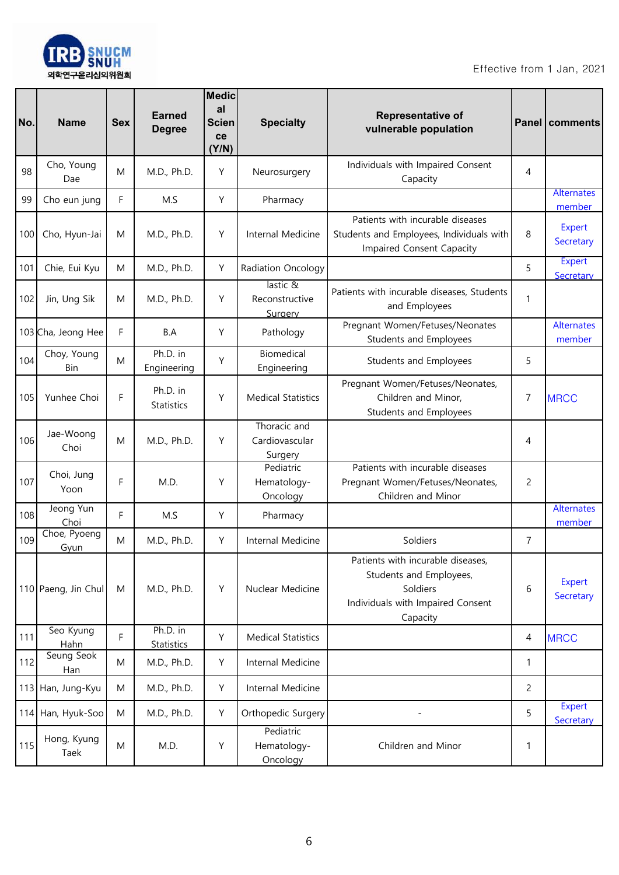

| No. | <b>Name</b>          | <b>Sex</b> | <b>Earned</b><br><b>Degree</b> | <b>Medic</b><br>al<br><b>Scien</b><br>ce<br>(Y/N) | <b>Specialty</b>                          | Representative of<br>vulnerable population                                                                                |                | Panel   comments            |
|-----|----------------------|------------|--------------------------------|---------------------------------------------------|-------------------------------------------|---------------------------------------------------------------------------------------------------------------------------|----------------|-----------------------------|
| 98  | Cho, Young<br>Dae    | M          | M.D., Ph.D.                    | Y                                                 | Neurosurgery                              | Individuals with Impaired Consent<br>Capacity                                                                             | 4              |                             |
| 99  | Cho eun jung         | F          | M.S                            | Υ                                                 | Pharmacy                                  |                                                                                                                           |                | Alternates<br>member        |
| 100 | Cho, Hyun-Jai        | M          | M.D., Ph.D.                    | Y                                                 | Internal Medicine                         | Patients with incurable diseases<br>Students and Employees, Individuals with<br>Impaired Consent Capacity                 | 8              | <b>Expert</b><br>Secretary  |
| 101 | Chie, Eui Kyu        | M          | M.D., Ph.D.                    | Υ                                                 | Radiation Oncology                        |                                                                                                                           | 5              | <b>Expert</b><br>Secretary  |
| 102 | Jin, Ung Sik         | M          | M.D., Ph.D.                    | Υ                                                 | lastic &<br>Reconstructive<br>Surgery     | Patients with incurable diseases, Students<br>and Employees                                                               | 1              |                             |
|     | 103 Cha, Jeong Hee   | F          | B.A                            | Υ                                                 | Pathology                                 | Pregnant Women/Fetuses/Neonates<br>Students and Employees                                                                 |                | <b>Alternates</b><br>member |
| 104 | Choy, Young<br>Bin   | M          | Ph.D. in<br>Engineering        | Υ                                                 | Biomedical<br>Engineering                 | Students and Employees                                                                                                    | 5              |                             |
| 105 | Yunhee Choi          | F          | Ph.D. in<br><b>Statistics</b>  | Υ                                                 | <b>Medical Statistics</b>                 | Pregnant Women/Fetuses/Neonates,<br>Children and Minor,<br>Students and Employees                                         | 7              | <b>MRCC</b>                 |
| 106 | Jae-Woong<br>Choi    | M          | M.D., Ph.D.                    | Υ                                                 | Thoracic and<br>Cardiovascular<br>Surgery |                                                                                                                           | 4              |                             |
| 107 | Choi, Jung<br>Yoon   | F          | M.D.                           | Υ                                                 | Pediatric<br>Hematology-<br>Oncology      | Patients with incurable diseases<br>Pregnant Women/Fetuses/Neonates,<br>Children and Minor                                | $\overline{c}$ |                             |
| 108 | Jeong Yun<br>Choi    | F          | M.S                            | Υ                                                 | Pharmacy                                  |                                                                                                                           |                | <b>Alternates</b><br>member |
| 109 | Choe, Pyoeng<br>Gyun | M          | M.D., Ph.D.                    | Y                                                 | Internal Medicine                         | Soldiers                                                                                                                  | $\overline{7}$ |                             |
|     | 110 Paeng, Jin Chul  | M          | M.D., Ph.D.                    | Υ                                                 | Nuclear Medicine                          | Patients with incurable diseases,<br>Students and Employees,<br>Soldiers<br>Individuals with Impaired Consent<br>Capacity | 6              | <b>Expert</b><br>Secretary  |
| 111 | Seo Kyung<br>Hahn    | F          | Ph.D. in<br>Statistics         | Y                                                 | <b>Medical Statistics</b>                 |                                                                                                                           | 4              | <b>MRCC</b>                 |
| 112 | Seung Seok<br>Han    | M          | M.D., Ph.D.                    | Y                                                 | Internal Medicine                         |                                                                                                                           | 1              |                             |
|     | 113 Han, Jung-Kyu    | M          | M.D., Ph.D.                    | Υ                                                 | Internal Medicine                         |                                                                                                                           | $\overline{c}$ |                             |
|     | 114 Han, Hyuk-Soo    | ${\sf M}$  | M.D., Ph.D.                    | Y                                                 | Orthopedic Surgery                        |                                                                                                                           | 5              | <b>Expert</b><br>Secretary  |
| 115 | Hong, Kyung<br>Taek  | ${\sf M}$  | M.D.                           | Υ                                                 | Pediatric<br>Hematology-<br>Oncology      | Children and Minor                                                                                                        | 1              |                             |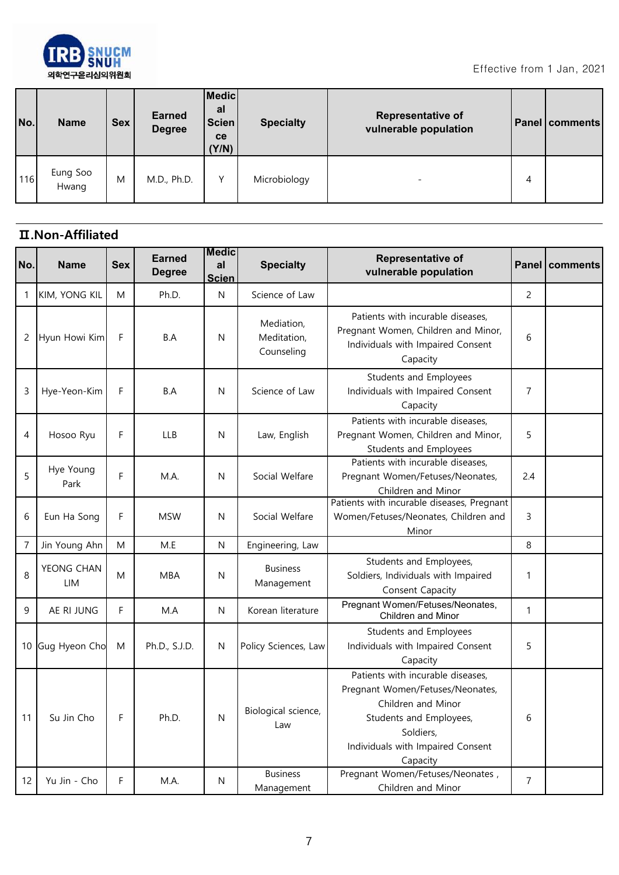

| No. | <b>Name</b>       | Sex | <b>Earned</b><br><b>Degree</b> | Medic<br>al<br><b>Scien</b><br>ce<br>(Y/N) | <b>Specialty</b> | <b>Representative of</b><br>vulnerable population |   | <b>Panel comments</b> |
|-----|-------------------|-----|--------------------------------|--------------------------------------------|------------------|---------------------------------------------------|---|-----------------------|
| 116 | Eung Soo<br>Hwang | M   | M.D., Ph.D.                    | v                                          | Microbiology     | $\overline{\phantom{0}}$                          | 4 |                       |

## **Ⅱ.Non-Affiliated**

| No.            | <b>Name</b>       | <b>Sex</b> | <b>Earned</b><br><b>Degree</b> | <b>Medic</b><br>al<br><b>Scien</b> | <b>Specialty</b>                        | <b>Representative of</b><br>vulnerable population                                                                                                                                    |                | Panel   comments |
|----------------|-------------------|------------|--------------------------------|------------------------------------|-----------------------------------------|--------------------------------------------------------------------------------------------------------------------------------------------------------------------------------------|----------------|------------------|
| 1              | KIM, YONG KIL     | M          | Ph.D.                          | N                                  | Science of Law                          |                                                                                                                                                                                      | 2              |                  |
| 2              | Hyun Howi Kim     | F          | B.A                            | N                                  | Mediation,<br>Meditation,<br>Counseling | Patients with incurable diseases,<br>Pregnant Women, Children and Minor,<br>Individuals with Impaired Consent<br>Capacity                                                            | 6              |                  |
| 3              | Hye-Yeon-Kim      | F          | B.A                            | N                                  | Science of Law                          | Students and Employees<br>Individuals with Impaired Consent<br>Capacity                                                                                                              | 7              |                  |
| 4              | Hosoo Ryu         | F          | <b>LLB</b>                     | N                                  | Law, English                            | Patients with incurable diseases,<br>Pregnant Women, Children and Minor,<br><b>Students and Employees</b>                                                                            | 5              |                  |
| 5              | Hye Young<br>Park | F          | M.A.                           | N                                  | Social Welfare                          | Patients with incurable diseases,<br>Pregnant Women/Fetuses/Neonates,<br>Children and Minor                                                                                          | 2.4            |                  |
| 6              | Eun Ha Song       | F          | <b>MSW</b>                     | N                                  | Social Welfare                          | Patients with incurable diseases, Pregnant<br>Women/Fetuses/Neonates, Children and<br>Minor                                                                                          | 3              |                  |
| $\overline{7}$ | Jin Young Ahn     | M          | M.E                            | N                                  | Engineering, Law                        |                                                                                                                                                                                      | 8              |                  |
| 8              | YEONG CHAN<br>LIM | M          | <b>MBA</b>                     | N                                  | <b>Business</b><br>Management           | Students and Employees,<br>Soldiers, Individuals with Impaired<br>Consent Capacity                                                                                                   | 1              |                  |
| 9              | AE RI JUNG        | F          | M.A                            | N                                  | Korean literature                       | Pregnant Women/Fetuses/Neonates,<br>Children and Minor                                                                                                                               | $\mathbf{1}$   |                  |
|                | 10 Gug Hyeon Cho  | M          | Ph.D., S.J.D.                  | N                                  | Policy Sciences, Law                    | Students and Employees<br>Individuals with Impaired Consent<br>Capacity                                                                                                              | 5              |                  |
| 11             | Su Jin Cho        | F          | Ph.D.                          | N                                  | Biological science,<br>Law              | Patients with incurable diseases,<br>Pregnant Women/Fetuses/Neonates,<br>Children and Minor<br>Students and Employees,<br>Soldiers,<br>Individuals with Impaired Consent<br>Capacity | 6              |                  |
| 12             | Yu Jin - Cho      | F.         | M.A.                           | N                                  | <b>Business</b><br>Management           | Pregnant Women/Fetuses/Neonates,<br>Children and Minor                                                                                                                               | $\overline{7}$ |                  |